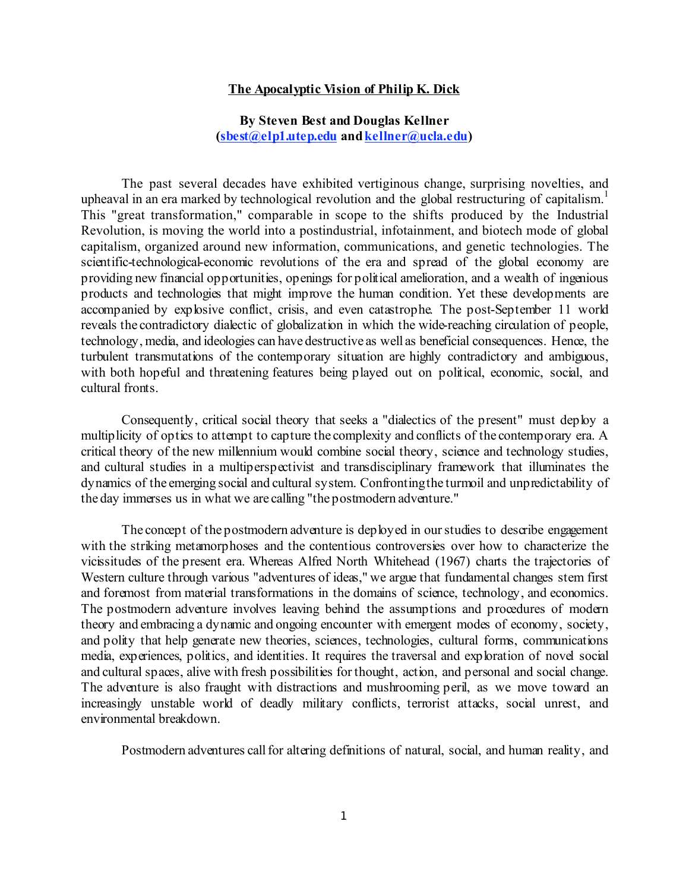### **The Apocalyptic Vision of Philip K. Dick**

## **By Steven Best and Douglas Kellner (sbest@elp1.utep.edu andkellner@ucla.edu)**

The past several decades have exhibited vertiginous change, surprising novelties, and upheaval in an era marked by technological revolution and the global restructuring of capitalism.<sup>1</sup> This "great transformation," comparable in scope to the shifts produced by the Industrial Revolution, is moving the world into a postindustrial, infotainment, and biotech mode of global capitalism, organized around new information, communications, and genetic technologies. The scientific-technological-economic revolutions of the era and spread of the global economy are providing new financial opportunities, openings for political amelioration, and a wealth of ingenious products and technologies that might improve the human condition. Yet these developments are accompanied by explosive conflict, crisis, and even catastrophe. The post-September 11 world reveals the contradictory dialectic of globalization in which the wide-reaching circulation of people, technology, media, and ideologies can have destructive as well as beneficial consequences. Hence, the turbulent transmutations of the contemporary situation are highly contradictory and ambiguous, with both hopeful and threatening features being played out on political, economic, social, and cultural fronts.

Consequently, critical social theory that seeks a "dialectics of the present" must deploy a multiplicity of optics to attempt to capture the complexity and conflicts of the contemporary era. A critical theory of the new millennium would combine social theory, science and technology studies, and cultural studies in a multiperspectivist and transdisciplinary framework that illuminates the dynamics of the emerging social and cultural system. Confrontingthe turmoil and unpredictability of the day immerses us in what we are calling "the postmodern adventure."

The concept of the postmodern adventure is deployed in our studies to describe engagement with the striking metamorphoses and the contentious controversies over how to characterize the vicissitudes of the present era. Whereas Alfred North Whitehead (1967) charts the trajectories of Western culture through various "adventures of ideas," we argue that fundamental changes stem first and foremost from material transformations in the domains of science, technology, and economics. The postmodern adventure involves leaving behind the assumptions and procedures of modern theory and embracing a dynamic and ongoing encounter with emergent modes of economy, society, and polity that help generate new theories, sciences, technologies, cultural forms, communications media, experiences, politics, and identities. It requires the traversal and exploration of novel social and cultural spaces, alive with fresh possibilities for thought, action, and personal and social change. The adventure is also fraught with distractions and mushrooming peril, as we move toward an increasingly unstable world of deadly military conflicts, terrorist attacks, social unrest, and environmental breakdown.

Postmodern adventures call for altering definitions of natural, social, and human reality, and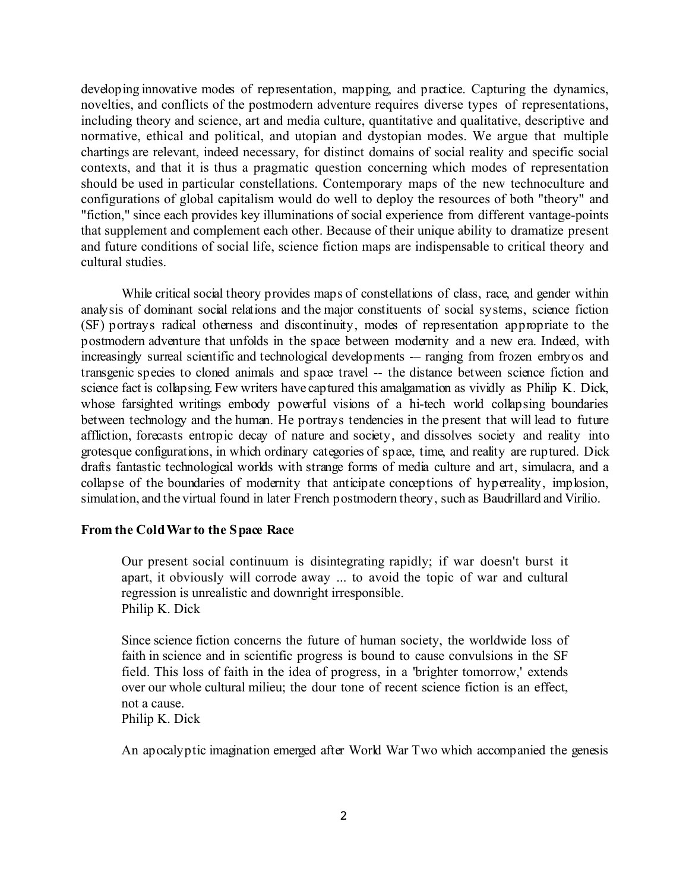developing innovative modes of representation, mapping, and practice. Capturing the dynamics, novelties, and conflicts of the postmodern adventure requires diverse types of representations, including theory and science, art and media culture, quantitative and qualitative, descriptive and normative, ethical and political, and utopian and dystopian modes. We argue that multiple chartings are relevant, indeed necessary, for distinct domains of social reality and specific social contexts, and that it is thus a pragmatic question concerning which modes of representation should be used in particular constellations. Contemporary maps of the new technoculture and configurations of global capitalism would do well to deploy the resources of both "theory" and "fiction," since each provides key illuminations of social experience from different vantage-points that supplement and complement each other. Because of their unique ability to dramatize present and future conditions of social life, science fiction maps are indispensable to critical theory and cultural studies.

While critical social theory provides maps of constellations of class, race, and gender within analysis of dominant social relations and the major constituents of social systems, science fiction (SF) portrays radical otherness and discontinuity, modes of representation appropriate to the postmodern adventure that unfolds in the space between modernity and a new era. Indeed, with increasingly surreal scientific and technological developments -- ranging from frozen embryos and transgenic species to cloned animals and space travel -- the distance between science fiction and science fact is collapsing. Few writers have captured this amalgamation as vividly as Philip K. Dick, whose farsighted writings embody powerful visions of a hi-tech world collapsing boundaries between technology and the human. He portrays tendencies in the present that will lead to future affliction, forecasts entropic decay of nature and society, and dissolves society and reality into grotesque configurations, in which ordinary categories of space, time, and reality are ruptured. Dick drafts fantastic technological worlds with strange forms of media culture and art, simulacra, and a collapse of the boundaries of modernity that anticipate conceptions of hyperreality, implosion, simulation, and the virtual found in later French postmodern theory, such as Baudrillard and Virilio.

### **From the ColdWar to the Space Race**

Our present social continuum is disintegrating rapidly; if war doesn't burst it apart, it obviously will corrode away ... to avoid the topic of war and cultural regression is unrealistic and downright irresponsible. Philip K. Dick

Since science fiction concerns the future of human society, the worldwide loss of faith in science and in scientific progress is bound to cause convulsions in the SF field. This loss of faith in the idea of progress, in a 'brighter tomorrow,' extends over our whole cultural milieu; the dour tone of recent science fiction is an effect, not a cause. Philip K. Dick

An apocalyptic imagination emerged after World War Two which accompanied the genesis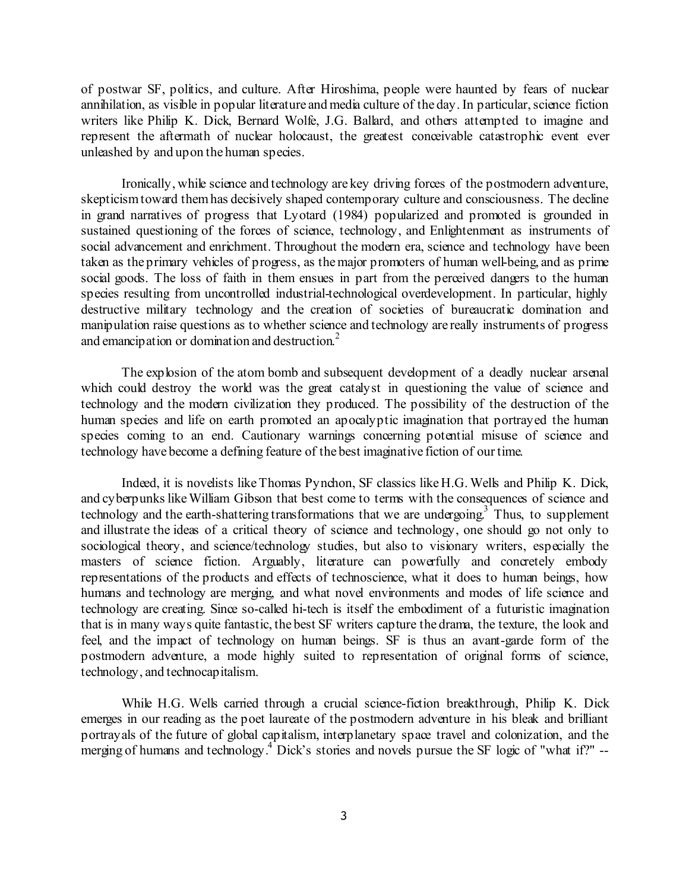of postwar SF, politics, and culture. After Hiroshima, people were haunted by fears of nuclear annihilation, as visible in popular literature and media culture of the day. In particular, science fiction writers like Philip K. Dick, Bernard Wolfe, J.G. Ballard, and others attempted to imagine and represent the aftermath of nuclear holocaust, the greatest conceivable catastrophic event ever unleashed by and upon the human species.

Ironically, while science and technology are key driving forces of the postmodern adventure, skepticism toward them has decisively shaped contemporary culture and consciousness. The decline in grand narratives of progress that Lyotard (1984) popularized and promoted is grounded in sustained questioning of the forces of science, technology, and Enlightenment as instruments of social advancement and enrichment. Throughout the modern era, science and technology have been taken as the primary vehicles of progress, as themajor promoters of human well-being, and as prime social goods. The loss of faith in them ensues in part from the perceived dangers to the human species resulting from uncontrolled industrial-technological overdevelopment. In particular, highly destructive military technology and the creation of societies of bureaucratic domination and manipulation raise questions as to whether science and technology are really instruments of progress and emancipation or domination and destruction.<sup>2</sup>

The explosion of the atom bomb and subsequent development of a deadly nuclear arsenal which could destroy the world was the great catalyst in questioning the value of science and technology and the modern civilization they produced. The possibility of the destruction of the human species and life on earth promoted an apocalyptic imagination that portrayed the human species coming to an end. Cautionary warnings concerning potential misuse of science and technology have become a defining feature of the best imaginative fiction of our time.

Indeed, it is novelists likeThomas Pynchon, SF classics likeH.G. Wells and Philip K. Dick, and cyberpunks like William Gibson that best come to terms with the consequences of science and technology and the earth-shattering transformations that we are undergoing.<sup>3</sup> Thus, to supplement and illustrate the ideas of a critical theory of science and technology, one should go not only to sociological theory, and science/technology studies, but also to visionary writers, especially the masters of science fiction. Arguably, literature can powerfully and concretely embody representations of the products and effects of technoscience, what it does to human beings, how humans and technology are merging, and what novel environments and modes of life science and technology are creating. Since so-called hi-tech is itself the embodiment of a futuristic imagination that is in many ways quite fantastic, the best SF writers capture the drama, the texture, the look and feel, and the impact of technology on human beings. SF is thus an avant-garde form of the postmodern adventure, a mode highly suited to representation of original forms of science, technology, and technocapitalism.

While H.G. Wells carried through a crucial science-fiction breakthrough, Philip K. Dick emerges in our reading as the poet laureate of the postmodern adventure in his bleak and brilliant portrayals of the future of global capitalism, interplanetary space travel and colonization, and the merging of humans and technology.<sup>4</sup> Dick's stories and novels pursue the SF logic of "what if?" --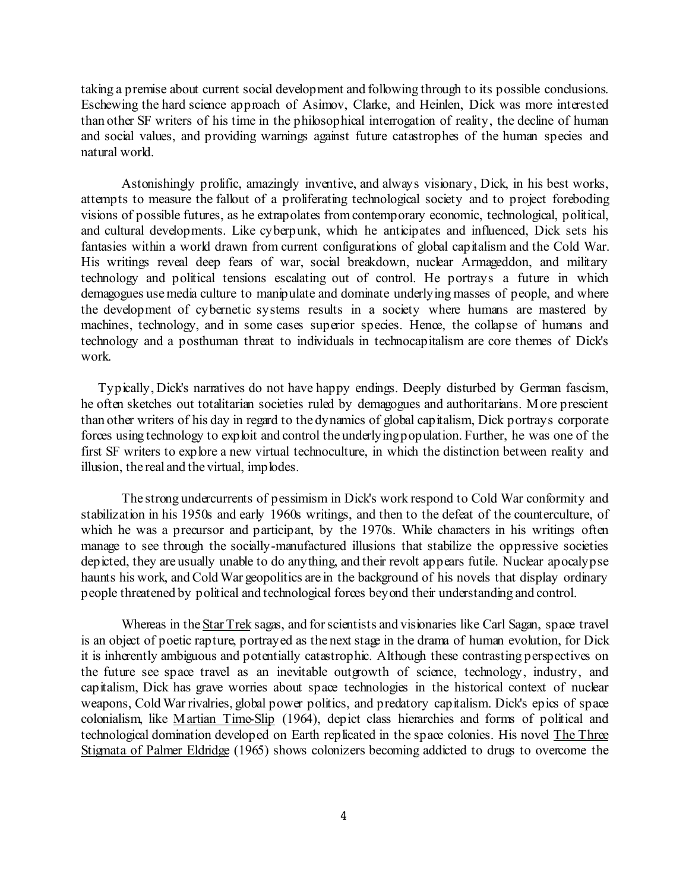taking a premise about current social development and following through to its possible conclusions. Eschewing the hard science approach of Asimov, Clarke, and Heinlen, Dick was more interested than other SF writers of his time in the philosophical interrogation of reality, the decline of human and social values, and providing warnings against future catastrophes of the human species and natural world.

Astonishingly prolific, amazingly inventive, and always visionary, Dick, in his best works, attempts to measure the fallout of a proliferating technological society and to project foreboding visions of possible futures, as he extrapolates fromcontemporary economic, technological, political, and cultural developments. Like cyberpunk, which he anticipates and influenced, Dick sets his fantasies within a world drawn from current configurations of global capitalism and the Cold War. His writings reveal deep fears of war, social breakdown, nuclear Armageddon, and military technology and political tensions escalating out of control. He portrays a future in which demagogues usemedia culture to manipulate and dominate underlying masses of people, and where the development of cybernetic systems results in a society where humans are mastered by machines, technology, and in some cases superior species. Hence, the collapse of humans and technology and a posthuman threat to individuals in technocapitalism are core themes of Dick's work.

Typically, Dick's narratives do not have happy endings. Deeply disturbed by German fascism, he often sketches out totalitarian societies ruled by demagogues and authoritarians. More prescient than other writers of his day in regard to the dynamics of global capitalism, Dick portrays corporate forces using technology to exploit and control the underlyingpopulation. Further, he was one of the first SF writers to explore a new virtual technoculture, in which the distinction between reality and illusion, the real and the virtual, implodes.

The strong undercurrents of pessimism in Dick's work respond to Cold War conformity and stabilization in his 1950s and early 1960s writings, and then to the defeat of the counterculture, of which he was a precursor and participant, by the 1970s. While characters in his writings often manage to see through the socially-manufactured illusions that stabilize the oppressive societies depicted, they are usually unable to do anything, and their revolt appears futile. Nuclear apocalypse haunts his work, and Cold War geopolitics are in the background of his novels that display ordinary people threatened by political and technological forces beyond their understanding and control.

Whereas in the Star Trek sagas, and for scientists and visionaries like Carl Sagan, space travel is an object of poetic rapture, portrayed as the next stage in the drama of human evolution, for Dick it is inherently ambiguous and potentially catastrophic. Although these contrasting perspectives on the future see space travel as an inevitable outgrowth of science, technology, industry, and capitalism, Dick has grave worries about space technologies in the historical context of nuclear weapons, Cold War rivalries, global power politics, and predatory capitalism. Dick's epics of space colonialism, like Martian Time-Slip (1964), depict class hierarchies and forms of political and technological domination developed on Earth replicated in the space colonies. His novel The Three Stigmata of Palmer Eldridge (1965) shows colonizers becoming addicted to drugs to overcome the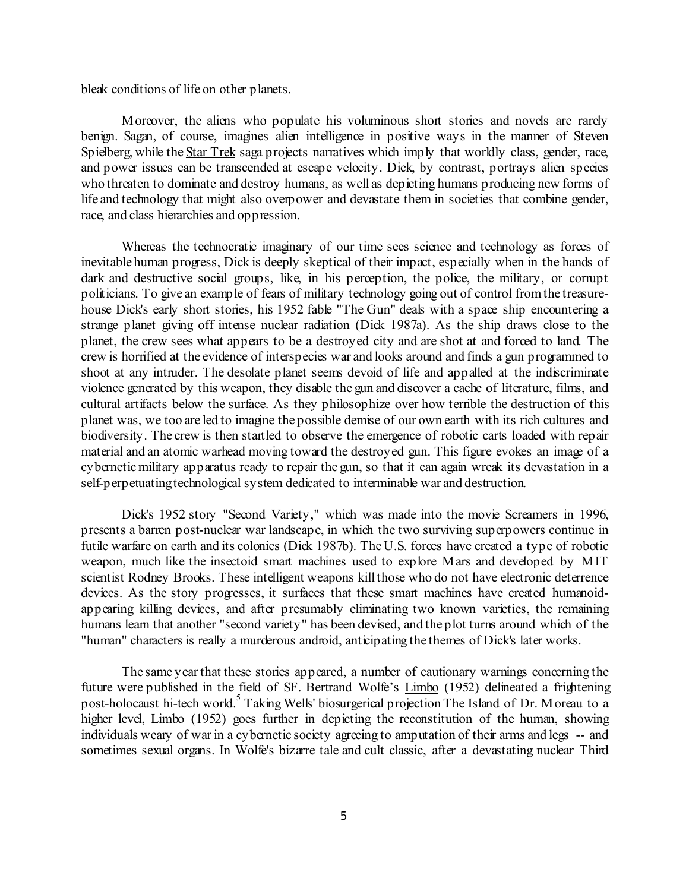bleak conditions of life on other planets.

Moreover, the aliens who populate his voluminous short stories and novels are rarely benign. Sagan, of course, imagines alien intelligence in positive ways in the manner of Steven Spielberg, while the Star Trek saga projects narratives which imply that worldly class, gender, race, and power issues can be transcended at escape velocity. Dick, by contrast, portrays alien species who threaten to dominate and destroy humans, as well as depicting humans producing new forms of life and technology that might also overpower and devastate them in societies that combine gender, race, and class hierarchies and oppression.

Whereas the technocratic imaginary of our time sees science and technology as forces of inevitable human progress, Dick is deeply skeptical of their impact, especially when in the hands of dark and destructive social groups, like, in his perception, the police, the military, or corrupt politicians. To give an example of fears of military technology going out of control fromthe treasurehouse Dick's early short stories, his 1952 fable "The Gun" deals with a space ship encountering a strange planet giving off intense nuclear radiation (Dick 1987a). As the ship draws close to the planet, the crew sees what appears to be a destroyed city and are shot at and forced to land. The crew is horrified at the evidence of interspecies war and looks around and finds a gun programmed to shoot at any intruder. The desolate planet seems devoid of life and appalled at the indiscriminate violence generated by this weapon, they disable the gun and discover a cache of literature, films, and cultural artifacts below the surface. As they philosophize over how terrible the destruction of this planet was, we too are led to imagine the possible demise of our own earth with its rich cultures and biodiversity. The crew is then startled to observe the emergence of robotic carts loaded with repair material and an atomic warhead moving toward the destroyed gun. This figure evokes an image of a cyberneticmilitary apparatus ready to repair the gun, so that it can again wreak its devastation in a self-perpetuatingtechnological system dedicated to interminable war and destruction.

Dick's 1952 story "Second Variety," which was made into the movie Screamers in 1996, presents a barren post-nuclear war landscape, in which the two surviving superpowers continue in futile warfare on earth and its colonies (Dick 1987b). The U.S. forces have created a type of robotic weapon, much like the insectoid smart machines used to explore Mars and developed by MIT scientist Rodney Brooks. These intelligent weapons kill those who do not have electronic deterrence devices. As the story progresses, it surfaces that these smart machines have created humanoidappearing killing devices, and after presumably eliminating two known varieties, the remaining humans learn that another "second variety" has been devised, and the plot turns around which of the "human" charactersis really a murderous android, anticipating the themes of Dick's later works.

The same year that these stories appeared, a number of cautionary warnings concerning the future were published in the field of SF. Bertrand Wolfe's Limbo (1952) delineated a frightening post-holocaust hi-tech world.<sup>5</sup> Taking Wells' biosurgerical projection The Island of Dr. Moreau to a higher level, Limbo (1952) goes further in depicting the reconstitution of the human, showing individuals weary of war in a cybernetic society agreeing to amputation of their arms and legs -- and sometimes sexual organs. In Wolfe's bizarre tale and cult classic, after a devastating nuclear Third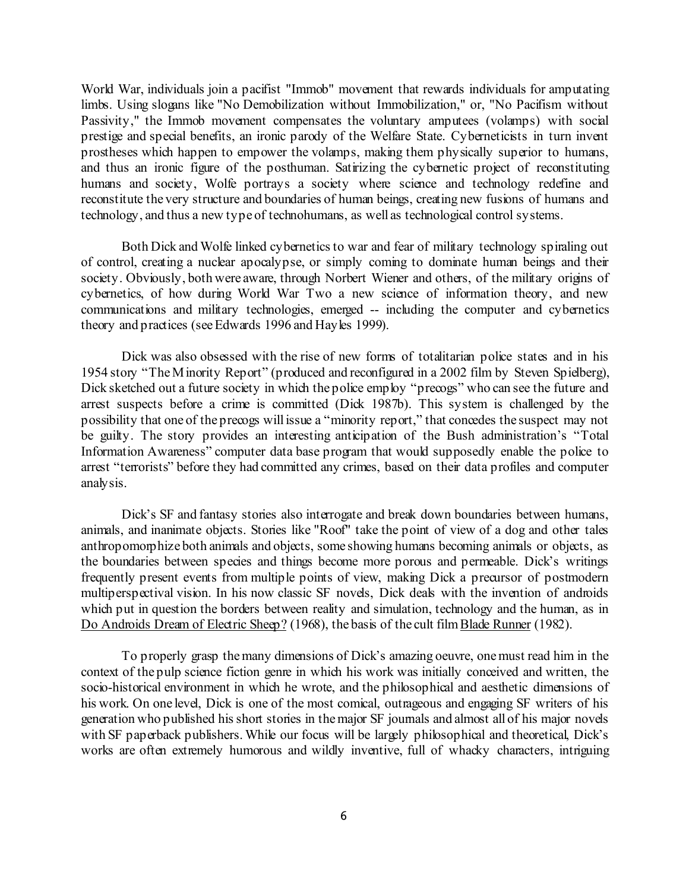World War, individuals join a pacifist "Immob" movement that rewards individuals for amputating limbs. Using slogans like "No Demobilization without Immobilization," or, "No Pacifism without Passivity," the Immob movement compensates the voluntary amputees (volamps) with social prestige and special benefits, an ironic parody of the Welfare State. Cyberneticists in turn invent prostheses which happen to empower the volamps, making them physically superior to humans, and thus an ironic figure of the posthuman. Satirizing the cybernetic project of reconstituting humans and society, Wolfe portrays a society where science and technology redefine and reconstitute the very structure and boundaries of human beings, creating new fusions of humans and technology, and thus a new type of technohumans, as well as technological control systems.

Both Dick and Wolfe linked cybernetics to war and fear of military technology spiraling out of control, creating a nuclear apocalypse, or simply coming to dominate human beings and their society. Obviously, both were aware, through Norbert Wiener and others, of the military origins of cybernetics, of how during World War Two a new science of information theory, and new communications and military technologies, emerged -- including the computer and cybernetics theory and practices (see Edwards 1996 and Hayles 1999).

Dick was also obsessed with the rise of new forms of totalitarian police states and in his 1954 story "TheMinority Report" (produced and reconfigured in a 2002 film by Steven Spielberg), Dick sketched out a future society in which the police employ "precogs" who can see the future and arrest suspects before a crime is committed (Dick 1987b). This system is challenged by the possibility that one of the precogs willissue a "minority report," that concedes the suspect may not be guilty. The story provides an interesting anticipation of the Bush administration's "Total Information Awareness" computer data base program that would supposedly enable the police to arrest "terrorists" before they had committed any crimes, based on their data profiles and computer analysis.

Dick's SF and fantasy stories also interrogate and break down boundaries between humans, animals, and inanimate objects. Stories like "Roof" take the point of view of a dog and other tales anthropomorphize both animals and objects, some showing humans becoming animals or objects, as the boundaries between species and things become more porous and permeable. Dick's writings frequently present events from multiple points of view, making Dick a precursor of postmodern multiperspectival vision. In his now classic SF novels, Dick deals with the invention of androids which put in question the borders between reality and simulation, technology and the human, as in Do Androids Dream of Electric Sheep? (1968), the basis of the cult film Blade Runner (1982).

To properly grasp themany dimensions of Dick's amazing oeuvre, onemust read him in the context of the pulp science fiction genre in which his work was initially conceived and written, the socio-historical environment in which he wrote, and the philosophical and aesthetic dimensions of his work. On one level, Dick is one of the most comical, outrageous and engaging SF writers of his generation who published hisshort stories in themajor SF journals and almost all of his major novels with SF paperback publishers. While our focus will be largely philosophical and theoretical, Dick's works are often extremely humorous and wildly inventive, full of whacky characters, intriguing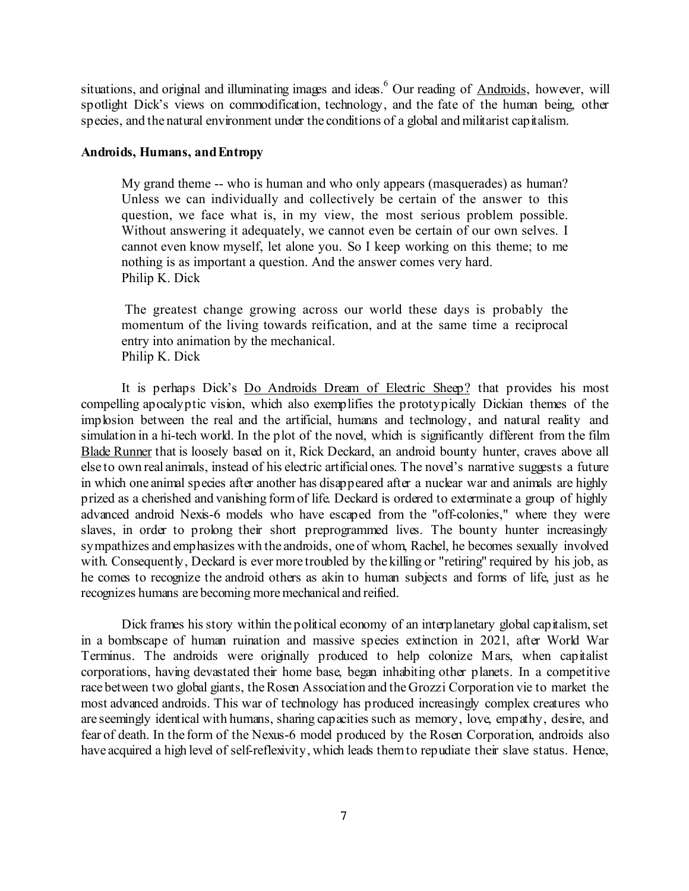situations, and original and illuminating images and ideas. <sup>6</sup> Our reading of Androids, however, will spotlight Dick's views on commodification, technology, and the fate of the human being, other species, and the natural environment under the conditions of a global and militarist capitalism.

## **Androids, Humans, andEntropy**

My grand theme -- who is human and who only appears (masquerades) as human? Unless we can individually and collectively be certain of the answer to this question, we face what is, in my view, the most serious problem possible. Without answering it adequately, we cannot even be certain of our own selves. I cannot even know myself, let alone you. So I keep working on this theme; to me nothing is as important a question. And the answer comes very hard. Philip K. Dick

The greatest change growing across our world these days is probably the momentum of the living towards reification, and at the same time a reciprocal entry into animation by the mechanical. Philip K. Dick

It is perhaps Dick's Do Androids Dream of Electric Sheep? that provides his most compelling apocalyptic vision, which also exemplifies the prototypically Dickian themes of the implosion between the real and the artificial, humans and technology, and natural reality and simulation in a hi-tech world. In the plot of the novel, which is significantly different from the film Blade Runner that is loosely based on it, Rick Deckard, an android bounty hunter, craves above all else to own real animals, instead of his electric artificial ones. The novel's narrative suggests a future in which one animal species after another has disappeared after a nuclear war and animals are highly prized as a cherished and vanishing formof life. Deckard is ordered to exterminate a group of highly advanced android Nexis-6 models who have escaped from the "off-colonies," where they were slaves, in order to prolong their short preprogrammed lives. The bounty hunter increasingly sympathizes and emphasizes with the androids, one of whom, Rachel, he becomes sexually involved with. Consequently, Deckard is ever more troubled by the killing or "retiring" required by his job, as he comes to recognize the android others as akin to human subjects and forms of life, just as he recognizes humans are becoming moremechanical and reified.

Dick frames his story within the political economy of an interplanetary global capitalism, set in a bombscape of human ruination and massive species extinction in 2021, after World War Terminus. The androids were originally produced to help colonize Mars, when capitalist corporations, having devastated their home base, began inhabiting other planets. In a competitive race between two global giants, the Rosen Association and the Grozzi Corporation vie to market the most advanced androids. This war of technology has produced increasingly complex creatures who are seemingly identical with humans, sharing capacities such as memory, love, empathy, desire, and fear of death. In the form of the Nexus-6 model produced by the Rosen Corporation, androids also have acquired a high level of self-reflexivity, which leads them to repudiate their slave status. Hence,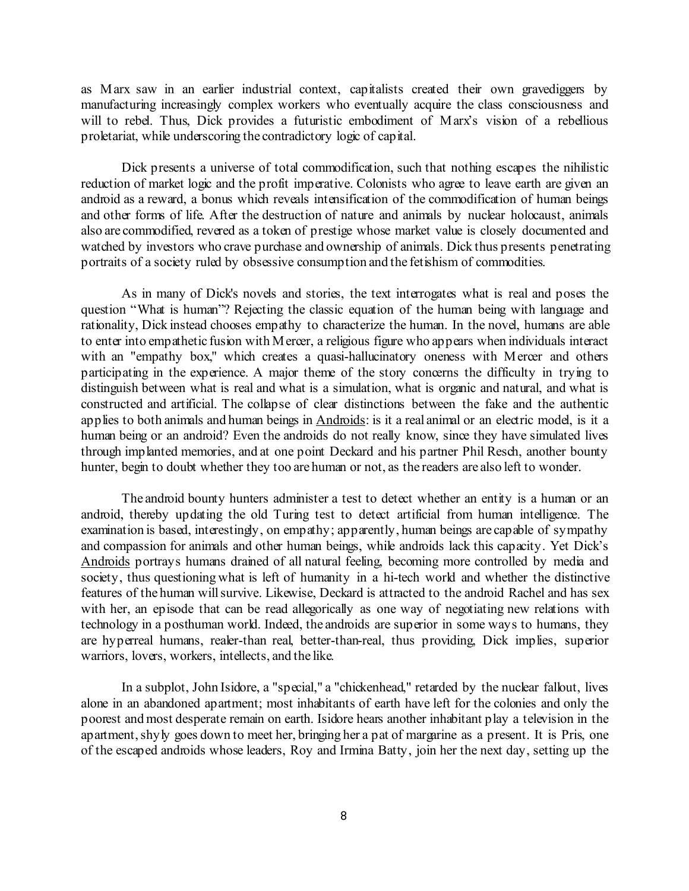as Marx saw in an earlier industrial context, capitalists created their own gravediggers by manufacturing increasingly complex workers who eventually acquire the class consciousness and will to rebel. Thus, Dick provides a futuristic embodiment of Marx's vision of a rebellious proletariat, while underscoring the contradictory logic of capital.

Dick presents a universe of total commodification, such that nothing escapes the nihilistic reduction of market logic and the profit imperative. Colonists who agree to leave earth are given an android as a reward, a bonus which reveals intensification of the commodification of human beings and other forms of life. After the destruction of nature and animals by nuclear holocaust, animals also are commodified, revered as a token of prestige whose market value is closely documented and watched by investors who crave purchase and ownership of animals. Dick thus presents penetrating portraits of a society ruled by obsessive consumption and the fetishism of commodities.

As in many of Dick's novels and stories, the text interrogates what is real and poses the question "What is human"? Rejecting the classic equation of the human being with language and rationality, Dick instead chooses empathy to characterize the human. In the novel, humans are able to enter into empathetic fusion with Mercer, a religious figure who appears when individuals interact with an "empathy box," which creates a quasi-hallucinatory oneness with Mercer and others participating in the experience. A major theme of the story concerns the difficulty in trying to distinguish between what is real and what is a simulation, what is organic and natural, and what is constructed and artificial. The collapse of clear distinctions between the fake and the authentic applies to both animals and human beings in Androids: is it a real animal or an electric model, is it a human being or an android? Even the androids do not really know, since they have simulated lives through implanted memories, and at one point Deckard and his partner Phil Resch, another bounty hunter, begin to doubt whether they too are human or not, as the readers are also left to wonder.

The android bounty hunters administer a test to detect whether an entity is a human or an android, thereby updating the old Turing test to detect artificial from human intelligence. The examination is based, interestingly, on empathy; apparently, human beings are capable of sympathy and compassion for animals and other human beings, while androids lack this capacity. Yet Dick's Androids portrays humans drained of all natural feeling, becoming more controlled by media and society, thus questioning what is left of humanity in a hi-tech world and whether the distinctive features of the human willsurvive. Likewise, Deckard is attracted to the android Rachel and has sex with her, an episode that can be read allegorically as one way of negotiating new relations with technology in a posthuman world. Indeed, the androids are superior in some ways to humans, they are hyperreal humans, realer-than real, better-than-real, thus providing, Dick implies, superior warriors, lovers, workers, intellects, and the like.

In a subplot, John Isidore, a "special," a "chickenhead," retarded by the nuclear fallout, lives alone in an abandoned apartment; most inhabitants of earth have left for the colonies and only the poorest and most desperate remain on earth. Isidore hears another inhabitant play a television in the apartment,shyly goes down to meet her, bringing her a pat of margarine as a present. It is Pris, one of the escaped androids whose leaders, Roy and Irmina Batty, join her the next day, setting up the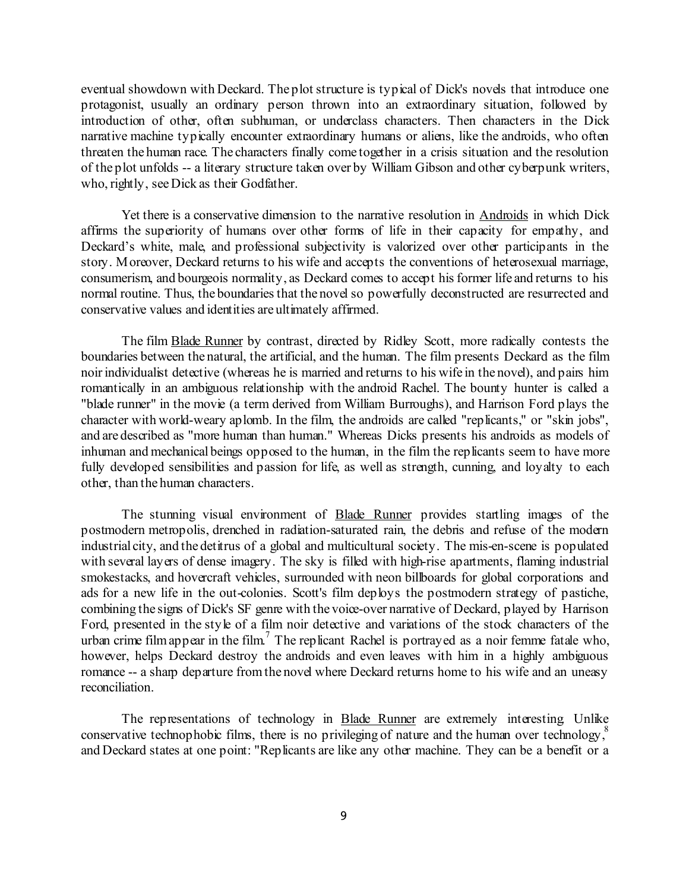eventual showdown with Deckard. The plot structure is typical of Dick's novels that introduce one protagonist, usually an ordinary person thrown into an extraordinary situation, followed by introduction of other, often subhuman, or underclass characters. Then characters in the Dick narrative machine typically encounter extraordinary humans or aliens, like the androids, who often threaten the human race. The characters finally come together in a crisis situation and the resolution of the plot unfolds -- a literary structure taken over by William Gibson and other cyberpunk writers, who, rightly, see Dick as their Godfather.

Yet there is a conservative dimension to the narrative resolution in Androids in which Dick affirms the superiority of humans over other forms of life in their capacity for empathy, and Deckard's white, male, and professional subjectivity is valorized over other participants in the story. Moreover, Deckard returns to his wife and accepts the conventions of heterosexual marriage, consumerism, and bourgeois normality, as Deckard comes to accept hisformer life and returns to his normal routine. Thus, the boundaries that the novel so powerfully deconstructed are resurrected and conservative values and identities are ultimately affirmed.

The film Blade Runner by contrast, directed by Ridley Scott, more radically contests the boundaries between the natural, the artificial, and the human. The film presents Deckard as the film noir individualist detective (whereas he is married and returns to his wife in the novel), and pairs him romantically in an ambiguous relationship with the android Rachel. The bounty hunter is called a "blade runner" in the movie (a term derived from William Burroughs), and Harrison Ford plays the character with world-weary aplomb. In the film, the androids are called "replicants," or "skin jobs", and are described as "more human than human." Whereas Dicks presents his androids as models of inhuman and mechanical beings opposed to the human, in the film the replicants seem to have more fully developed sensibilities and passion for life, as well as strength, cunning, and loyalty to each other, than the human characters.

The stunning visual environment of Blade Runner provides startling images of the postmodern metropolis, drenched in radiation-saturated rain, the debris and refuse of the modern industrial city, and the detitrus of a global and multicultural society. The mis-en-scene is populated with several layers of dense imagery. The sky is filled with high-rise apartments, flaming industrial smokestacks, and hovercraft vehicles, surrounded with neon billboards for global corporations and ads for a new life in the out-colonies. Scott's film deploys the postmodern strategy of pastiche, combining the signs of Dick's SF genre with the voice-over narrative of Deckard, played by Harrison Ford, presented in the style of a film noir detective and variations of the stock characters of the urban crime film appear in the film<sup>7</sup> The replicant Rachel is portrayed as a noir femme fatale who, however, helps Deckard destroy the androids and even leaves with him in a highly ambiguous romance -- a sharp departure fromthe novel where Deckard returns home to his wife and an uneasy reconciliation.

The representations of technology in Blade Runner are extremely interesting. Unlike conservative technophobic films, there is no privileging of nature and the human over technology,<sup>8</sup> and Deckard states at one point: "Replicants are like any other machine. They can be a benefit or a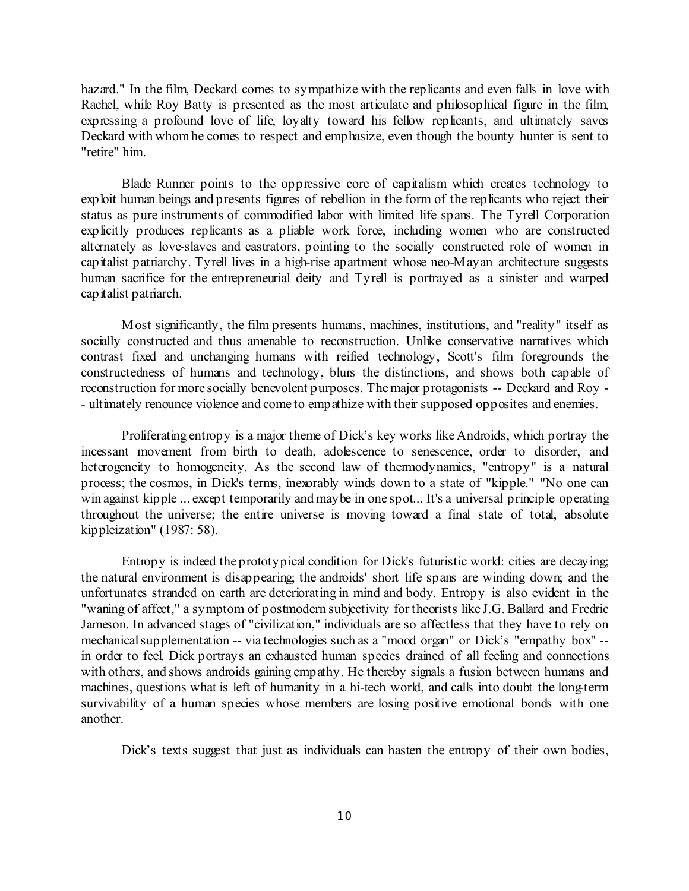hazard." In the film, Deckard comes to sympathize with the replicants and even falls in love with Rachel, while Roy Batty is presented as the most articulate and philosophical figure in the film, expressing a profound love of life, loyalty toward his fellow replicants, and ultimately saves Deckard with whomhe comes to respect and emphasize, even though the bounty hunter is sent to "retire" him.

Blade Runner points to the oppressive core of capitalism which creates technology to exploit human beings and presents figures of rebellion in the form of the replicants who reject their status as pure instruments of commodified labor with limited life spans. The Tyrell Corporation explicitly produces replicants as a pliable work force, including women who are constructed alternately as love-slaves and castrators, pointing to the socially constructed role of women in capitalist patriarchy. Tyrell lives in a high-rise apartment whose neo-Mayan architecture suggests human sacrifice for the entrepreneurial deity and Tyrell is portrayed as a sinister and warped capitalist patriarch.

Most significantly, the film presents humans, machines, institutions, and "reality" itself as socially constructed and thus amenable to reconstruction. Unlike conservative narratives which contrast fixed and unchanging humans with reified technology, Scott's film foregrounds the constructedness of humans and technology, blurs the distinctions, and shows both capable of reconstruction for more socially benevolent purposes. Themajor protagonists -- Deckard and Roy - - ultimately renounce violence and come to empathize with their supposed opposites and enemies.

Proliferating entropy is a major theme of Dick's key works like Androids, which portray the incessant movement from birth to death, adolescence to senescence, order to disorder, and heterogeneity to homogeneity. As the second law of thermodynamics, "entropy" is a natural process; the cosmos, in Dick's terms, inexorably winds down to a state of "kipple." "No one can win against kipple ... except temporarily and may be in one spot... It's a universal principle operating throughout the universe; the entire universe is moving toward a final state of total, absolute kippleization" (1987: 58).

Entropy is indeed the prototypical condition for Dick's futuristic world: cities are decaying; the natural environment is disappearing; the androids' short life spans are winding down; and the unfortunates stranded on earth are deteriorating in mind and body. Entropy is also evident in the "waning of affect," a symptom of postmodern subjectivity for theorists like J.G.Ballard and Fredric Jameson. In advanced stages of "civilization," individuals are so affectless that they have to rely on mechanical supplementation -- via technologies such as a "mood organ" or Dick's "empathy box" -in order to feel. Dick portrays an exhausted human species drained of all feeling and connections with others, and shows androids gaining empathy. He thereby signals a fusion between humans and machines, questions what is left of humanity in a hi-tech world, and calls into doubt the long-term survivability of a human species whose members are losing positive emotional bonds with one another.

Dick's texts suggest that just as individuals can hasten the entropy of their own bodies,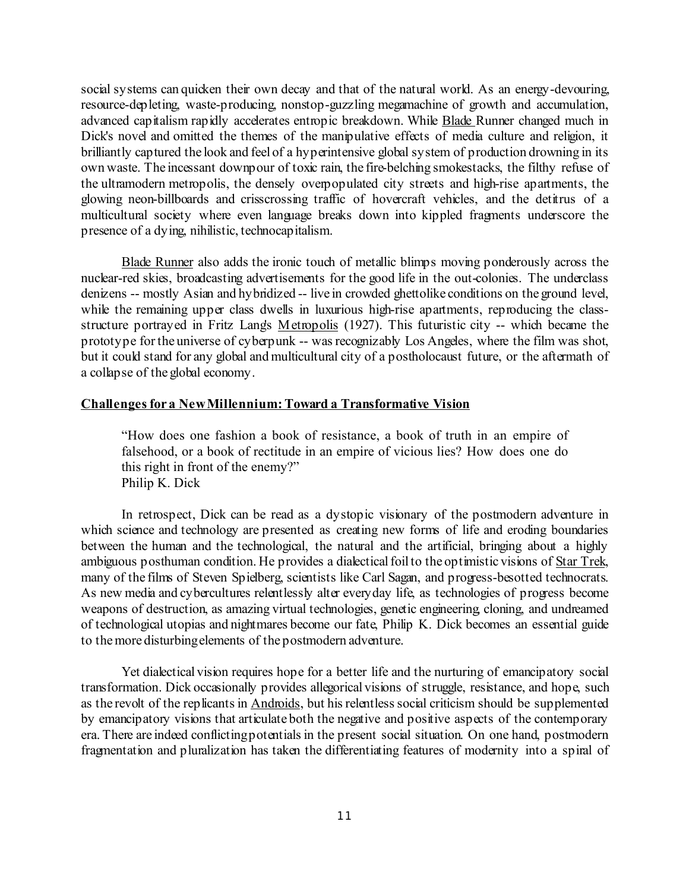social systems can quicken their own decay and that of the natural world. As an energy-devouring, resource-depleting, waste-producing, nonstop-guzzling megamachine of growth and accumulation, advanced capitalism rapidly accelerates entropic breakdown. While Blade Runner changed much in Dick's novel and omitted the themes of the manipulative effects of media culture and religion, it brilliantly captured the look and feel of a hyperintensive global system of production drowning in its own waste. The incessant downpour of toxic rain, the fire-belching smokestacks, the filthy refuse of the ultramodern metropolis, the densely overpopulated city streets and high-rise apartments, the glowing neon-billboards and crisscrossing traffic of hovercraft vehicles, and the detitrus of a multicultural society where even language breaks down into kippled fragments underscore the presence of a dying, nihilistic, technocapitalism.

Blade Runner also adds the ironic touch of metallic blimps moving ponderously across the nuclear-red skies, broadcasting advertisements for the good life in the out-colonies. The underclass denizens -- mostly Asian and hybridized -- live in crowded ghettolike conditions on the ground level, while the remaining upper class dwells in luxurious high-rise apartments, reproducing the classstructure portrayed in Fritz Lang's Metropolis (1927). This futuristic city -- which became the prototype for the universe of cyberpunk -- wasrecognizably Los Angeles, where the film was shot, but it could stand for any global and multicultural city of a postholocaust future, or the aftermath of a collapse of the global economy.

### **Challengesfor a NewMillennium: Toward a Transformative Vision**

"How does one fashion a book of resistance, a book of truth in an empire of falsehood, or a book of rectitude in an empire of vicious lies? How does one do this right in front of the enemy?" Philip K. Dick

In retrospect, Dick can be read as a dystopic visionary of the postmodern adventure in which science and technology are presented as creating new forms of life and eroding boundaries between the human and the technological, the natural and the artificial, bringing about a highly ambiguous posthuman condition. He provides a dialectical foil to the optimistic visions of Star Trek, many of the films of Steven Spielberg, scientists like Carl Sagan, and progress-besotted technocrats. As new media and cybercultures relentlessly alter everyday life, as technologies of progress become weapons of destruction, as amazing virtual technologies, genetic engineering, cloning, and undreamed of technological utopias and nightmares become our fate, Philip K. Dick becomes an essential guide to themore disturbingelements of the postmodern adventure.

Yet dialectical vision requires hope for a better life and the nurturing of emancipatory social transformation. Dick occasionally provides allegorical visions of struggle, resistance, and hope, such as the revolt of the replicants in Androids, but his relentless social criticism should be supplemented by emancipatory visions that articulate both the negative and positive aspects of the contemporary era. There are indeed conflicting potentials in the present social situation. On one hand, postmodern fragmentation and pluralization has taken the differentiating features of modernity into a spiral of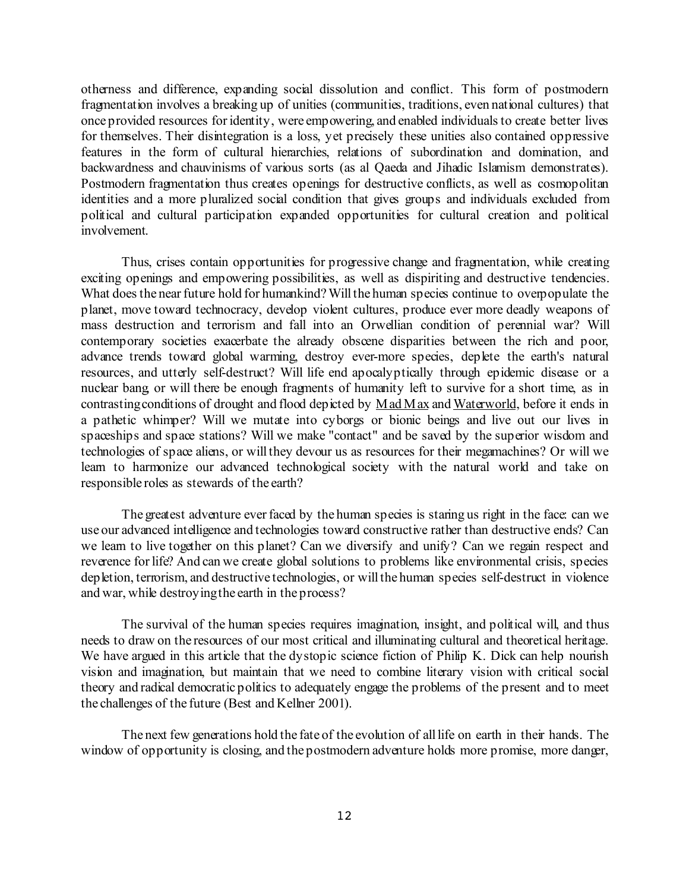otherness and difference, expanding social dissolution and conflict. This form of postmodern fragmentation involves a breaking up of unities (communities, traditions, even national cultures) that once provided resources for identity, were empowering, and enabled individualsto create better lives for themselves. Their disintegration is a loss, yet precisely these unities also contained oppressive features in the form of cultural hierarchies, relations of subordination and domination, and backwardness and chauvinisms of various sorts (as al Qaeda and Jihadic Islamism demonstrates). Postmodern fragmentation thus creates openings for destructive conflicts, as well as cosmopolitan identities and a more pluralized social condition that gives groups and individuals excluded from political and cultural participation expanded opportunities for cultural creation and political involvement.

Thus, crises contain opportunities for progressive change and fragmentation, while creating exciting openings and empowering possibilities, as well as dispiriting and destructive tendencies. What does the near future hold for humankind? Will the human species continue to overpopulate the planet, move toward technocracy, develop violent cultures, produce ever more deadly weapons of mass destruction and terrorism and fall into an Orwellian condition of perennial war? Will contemporary societies exacerbate the already obscene disparities between the rich and poor, advance trends toward global warming, destroy ever-more species, deplete the earth's natural resources, and utterly self-destruct? Will life end apocalyptically through epidemic disease or a nuclear bang, or will there be enough fragments of humanity left to survive for a short time, as in contrastingconditions of drought and flood depicted by Mad Max and Waterworld, before it ends in a pathetic whimper? Will we mutate into cyborgs or bionic beings and live out our lives in spaceships and space stations? Will we make "contact" and be saved by the superior wisdom and technologies of space aliens, or will they devour us as resources for their megamachines? Or will we learn to harmonize our advanced technological society with the natural world and take on responsible roles as stewards of the earth?

The greatest adventure ever faced by the human species is staring us right in the face: can we use our advanced intelligence and technologies toward constructive rather than destructive ends? Can we learn to live together on this planet? Can we diversify and unify? Can we regain respect and reverence for life? And can we create global solutions to problems like environmental crisis, species depletion, terrorism, and destructive technologies, or willthe human species self-destruct in violence and war, while destroying the earth in the process?

The survival of the human species requires imagination, insight, and political will, and thus needs to draw on the resources of our most critical and illuminating cultural and theoretical heritage. We have argued in this article that the dystopic science fiction of Philip K. Dick can help nourish vision and imagination, but maintain that we need to combine literary vision with critical social theory and radical democratic politics to adequately engage the problems of the present and to meet the challenges of the future (Best and Kellner 2001).

The next few generations hold the fate of the evolution of alllife on earth in their hands. The window of opportunity is closing, and the postmodern adventure holds more promise, more danger,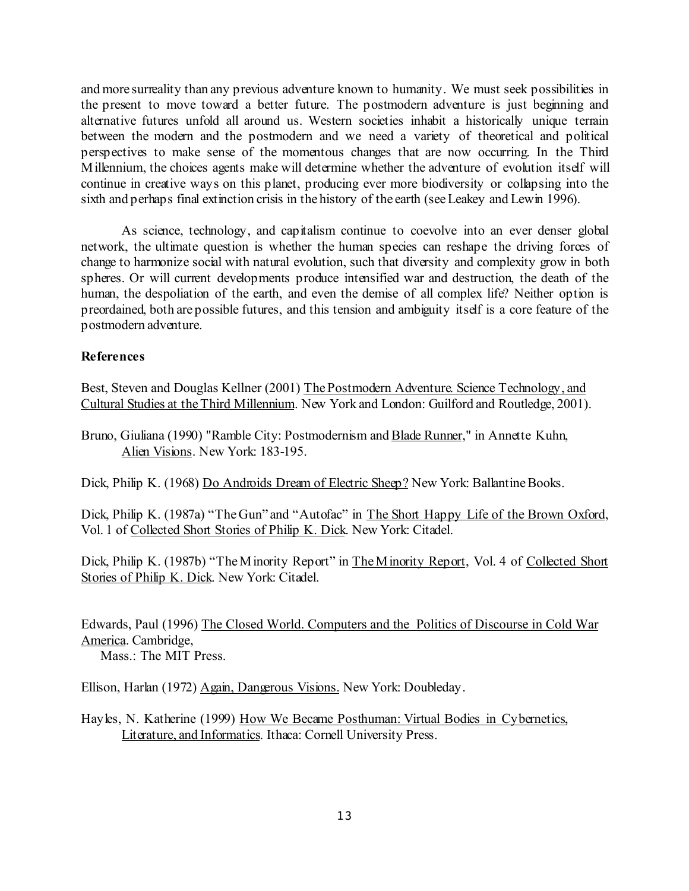and more surreality than any previous adventure known to humanity. We must seek possibilities in the present to move toward a better future. The postmodern adventure is just beginning and alternative futures unfold all around us. Western societies inhabit a historically unique terrain between the modern and the postmodern and we need a variety of theoretical and political perspectives to make sense of the momentous changes that are now occurring. In the Third Millennium, the choices agents make will determine whether the adventure of evolution itself will continue in creative ways on this planet, producing ever more biodiversity or collapsing into the sixth and perhaps final extinction crisis in the history of the earth (see Leakey and Lewin 1996).

As science, technology, and capitalism continue to coevolve into an ever denser global network, the ultimate question is whether the human species can reshape the driving forces of change to harmonize social with natural evolution, such that diversity and complexity grow in both spheres. Or will current developments produce intensified war and destruction, the death of the human, the despoliation of the earth, and even the demise of all complex life? Neither option is preordained, both are possible futures, and this tension and ambiguity itself is a core feature of the postmodern adventure.

## **References**

Best, Steven and Douglas Kellner (2001) The Postmodern Adventure. Science Technology, and Cultural Studies at theThird Millennium. New York and London: Guilford and Routledge, 2001).

Bruno, Giuliana (1990) "Ramble City: Postmodernism and Blade Runner," in Annette Kuhn, Alien Visions. New York: 183-195.

Dick, Philip K. (1968) Do Androids Dream of Electric Sheep? New York: Ballantine Books.

Dick, Philip K. (1987a) "The Gun" and "Autofac" in The Short Happy Life of the Brown Oxford, Vol. 1 of Collected Short Stories of Philip K. Dick. New York: Citadel.

Dick, Philip K. (1987b) "The Minority Report" in The Minority Report, Vol. 4 of Collected Short Stories of Philip K. Dick. New York: Citadel.

Edwards, Paul (1996) The Closed World. Computers and the Politics of Discourse in Cold War America. Cambridge,

Mass.: The MIT Press.

Ellison, Harlan (1972) Again, Dangerous Visions. New York: Doubleday.

Hayles, N. Katherine (1999) How We Became Posthuman: Virtual Bodies in Cybernetics, Literature, and Informatics. Ithaca: Cornell University Press.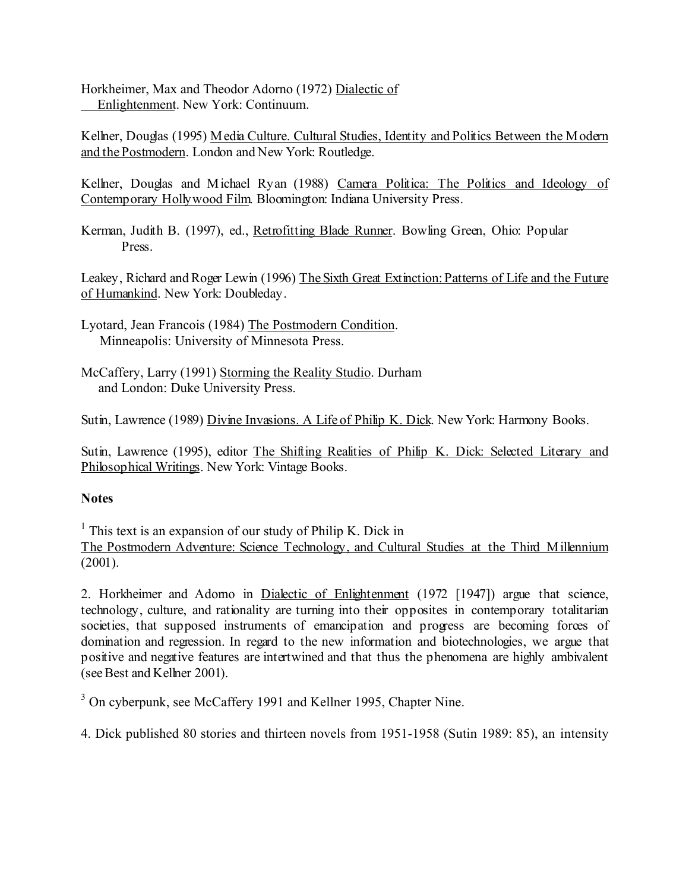Horkheimer, Max and Theodor Adorno (1972) Dialectic of Enlightenment. New York: Continuum.

Kellner, Douglas (1995) Media Culture. Cultural Studies, Identity and Politics Between the Modern and the Postmodern. London and New York: Routledge.

Kellner, Douglas and Michael Ryan (1988) Camera Politica: The Politics and Ideology of Contemporary Hollywood Film. Bloomington: Indiana University Press.

Kerman, Judith B. (1997), ed., Retrofitting Blade Runner. Bowling Green, Ohio: Popular Press.

Leakey, Richard and Roger Lewin (1996) The Sixth Great Extinction: Patterns of Life and the Future of Humankind. New York: Doubleday.

- Lyotard, Jean Francois (1984) The Postmodern Condition. Minneapolis: University of Minnesota Press.
- McCaffery, Larry (1991) Storming the Reality Studio. Durham and London: Duke University Press.

Sutin, Lawrence (1989) Divine Invasions. A Life of Philip K. Dick. New York: Harmony Books.

Sutin, Lawrence (1995), editor The Shifting Realities of Philip K. Dick: Selected Literary and Philosophical Writings. New York: Vintage Books.

# **Notes**

 $<sup>1</sup>$  This text is an expansion of our study of Philip K. Dick in</sup> The Postmodern Adventure: Science Technology, and Cultural Studies at the Third Millennium (2001).

2. Horkheimer and Adorno in Dialectic of Enlightenment (1972 [1947]) argue that science, technology, culture, and rationality are turning into their opposites in contemporary totalitarian societies, that supposed instruments of emancipation and progress are becoming forces of domination and regression. In regard to the new information and biotechnologies, we argue that positive and negative features are intertwined and that thus the phenomena are highly ambivalent (seeBest and Kellner 2001).

<sup>3</sup> On cyberpunk, see McCaffery 1991 and Kellner 1995, Chapter Nine.

4. Dick published 80 stories and thirteen novels from 1951-1958 (Sutin 1989: 85), an intensity